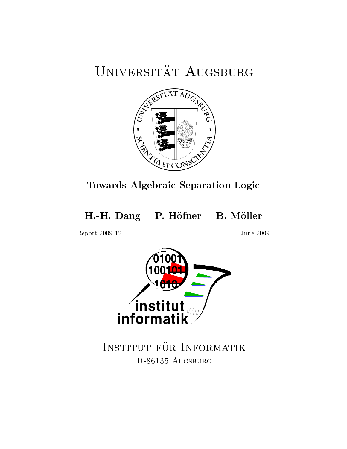# UNIVERSITÄT AUGSBURG



Towards Algebraic Separation Logic

H.-H. Dang P. Höfner B. Möller

Report 2009-12 June 2009



INSTITUT FÜR INFORMATIK D-86135 AUGSBURG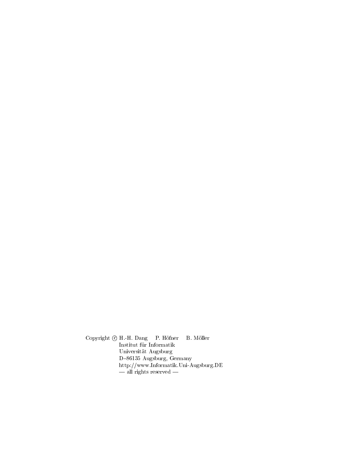Copyright  $\odot$  H.-H. Dang P. Höfner B. Möller Institut für Informatik Universitat Augsburg D-86135 Augsburg, Germany http://www.Informatik.Uni-Augsburg.DE  $\frac{1}{\sqrt{2}}$  rights reserved  $\frac{1}{\sqrt{2}}$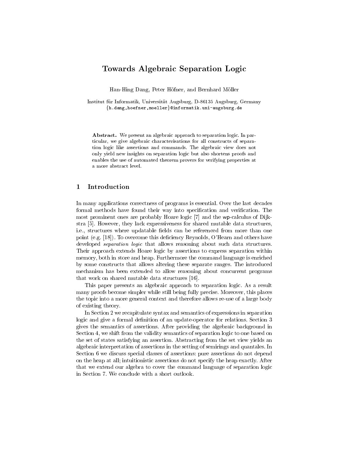## Towards Algebraic Separation Logic

Han-Hing Dang, Peter Hofner, and Bernhard Moller

Institut fur Informatik, Universitat Augsburg, D-86135 Augsburg, Germany  $\{h.dang, hoefner, moeller\}$ @informatik.uni-augsburg.de

Abstract. We present an algebraic approach to separation logic. In particular, we give algebraic characterisations for all constructs of separation logic like assertions and commands. The algebraic view does not only yield new insights on separation logic but also shortens proofs and enables the use of automated theorem provers for verifying properties at a more abstract level.

## 1 Introduction

In many applications correctness of programs is essential. Over the last decades formal methods have found their way into specification and verification. The most prominent ones are probably Hoare logic [7] and the wp-calculus of Dijkstra [5]. However, they lack expressiveness for shared mutable data structures, i.e., structures where updatable fields can be referenced from more than one point (e.g.  $[18]$ ). To overcome this deficiency Reynolds, O'Hearn and others have developed *separation logic* that allows reasoning about such data structures. Their approach extends Hoare logic by assertions to express separation within memory, both in store and heap. Furthermore the command language is enriched by some constructs that allows altering these separate ranges. The introduced mechanism has been extended to allow reasoning about concurrent programs that work on shared mutable data structures [16].

This paper presents an algebraic approach to separation logic. As a result many proofs become simpler while still being fully precise. Moreover, this places the topic into a more general context and therefore allows re-use of a large body of existing theory.

In Section 2 we recapitulate syntax and semantics of expressions in separation logic and give a formal definition of an update-operator for relations. Section 3 gives the semantics of assertions. After providing the algebraic background in Section 4, we shift from the validity semantics of separation logic to one based on the set of states satisfying an assertion. Abstracting from the set view yields an algebraic interpretation of assertions in the setting of semirings and quantales. In Section 6 we discuss special classes of assertions: pure assertions do not depend on the heap at all; intuitionistic assertions do not specify the heap exactly. After that we extend our algebra to cover the command language of separation logic in Section 7. We conclude with a short outlook.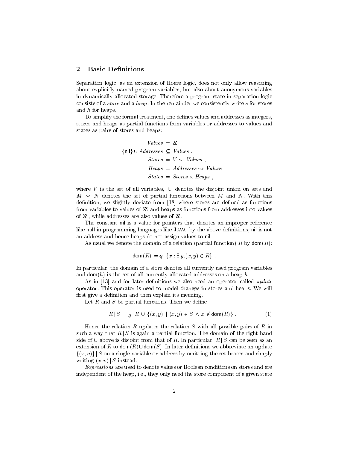## 2 Basic Definitions

Separation logic, as an extension of Hoare logic, does not only allow reasoning about explicitly named program variables, but also about anonymous variables in dynamically allocated storage. Therefore a program state in separation logic consists of a store and a heap. In the remainder we consistently write s for stores and h for heaps.

To simplify the formal treatment, one defines values and addresses as integers. stores and heaps as partial functions from variables or addresses to values and states as pairs of stores and heaps:

$$
Values = \mathbb{Z} ,
$$
  

$$
\{nil\} \cup Addresses \subseteq Values ,
$$
  

$$
Stores = V \rightsquigarrow Values ,
$$
  

$$
Heaps = Addresses \rightsquigarrow Values ,
$$
  

$$
States = Stores \times Heaps ,
$$

where V is the set of all variables,  $\cup$  denotes the disjoint union on sets and  $M \sim N$  denotes the set of partial functions between M and N. With this definition, we slightly deviate from [18] where stores are defined as functions from variables to values of  $Z$  and heaps as functions from addresses into values of  $\mathbb Z$ , while addresses are also values of  $\mathbb Z$ .

The constant nil is a value for pointers that denotes an improper reference like null in programming languages like JAVA; by the above definitions, nil is not an address and hence heaps do not assign values to nil.

As usual we denote the domain of a relation (partial function) R by  $dom(R)$ :

$$
\mathsf{dom}\,(R)\, =_{df} \{x : \exists \, y \, (x, y) \in R\}\,.
$$

In particular, the domain of a store denotes all currently used program variables and dom(h) is the set of all currently allocated addresses on a heap  $h$ .

As in  $[13]$  and for later definitions we also need an operator called update operator. This operator is used to model changes in stores and heaps. We will first give a definition and then explain its meaning.

Let  $R$  and  $S$  be partial functions. Then we define

$$
R | S =_{df} R \cup \{(x, y) \mid (x, y) \in S \land x \notin \text{dom}(R) \}.
$$
 (1)

Hence the relation R updates the relation S with all possible pairs of R in such a way that  $R / S$  is again a partial function. The domain of the right hand side of  $\cup$  above is disjoint from that of R. In particular,  $R | S$  can be seen as an extension of R to  $\mathsf{dom}(R) \cup \mathsf{dom}(S)$ . In later definitions we abbreviate an update  $\{(x, v)\}\$  S on a single variable or address by omitting the set-braces and simply writing  $(x, v)$  S instead.

Expressions are used to denote values or Boolean conditions on stores and are independent of the heap, i.e., they only need the store component of a given state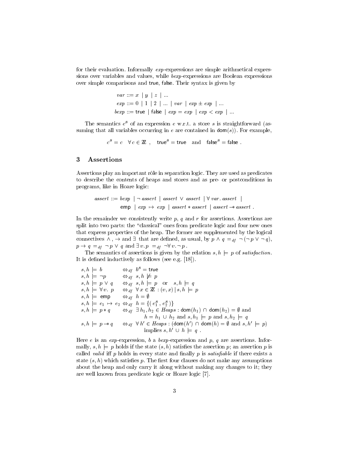for their evaluation. Informally  $exp$ -expressions are simple arithmetical expressions over variables and values, while bexp-expressions are Boolean expressions over simple comparisons and true, false. Their syntax is given by

$$
var ::= x \mid y \mid z \mid ...
$$
  
\n
$$
exp ::= 0 \mid 1 \mid 2 \mid ... \mid var \mid exp \pm exp \mid ...
$$
  
\n
$$
bexp ::= true \mid false \mid exp = exp \mid exp < exp \mid ...
$$

The semantics  $e^{s}$  of an expression  $e$  w.r.t. a store  $s$  is straightforward (assuming that all variables occurring in  $e$  are contained in dom(s)). For example,

 $c^{\mathcal{S}} = c \quad \forall \, c \in \mathbb{Z} \,\, , \quad \mathsf{true}^{\mathcal{S}} = \mathsf{true} \quad \text{and} \quad \mathsf{false}^{\mathcal{S}} = \mathsf{false} \,\, .$ 

#### 3 Assertions

Assertions play an important rôle in separation logic. They are used as predicates to describe the contents of heaps and stores and as pre- or postconditions in programs, like in Hoare logic:

 $assert ::= bexp \mid \neg \text{ assert} \mid assert \lor assert \mid \forall \text{var}.\text{ assert} \mid$  $\text{emp}$  |  $\exp \rightarrow \exp$  | assert  $*$  assert | assert  $-*$  assert :

In the remainder we consistently write  $p$ ,  $q$  and  $r$  for assertions. Assertions are split into two parts: the "classical" ones from predicate logic and four new ones that express properties of the heap. The former are supplemented by the logical connectives  $\wedge$ ,  $\rightarrow$  and  $\exists$  that are defined, as usual, by  $p \wedge q =_{df} \neg (\neg p \vee \neg q)$ ,  $p \to q =_{df} \neg p \lor q$  and  $\exists v. p =_{df} \neg \forall v. \neg p$ .

The semantics of assertions is given by the relation  $s, h \models p$  of *satisfaction*. It is defined inductively as follows (see e.g.  $[18]$ ).

$$
s, h \models b \qquad \Leftrightarrow_{df} b^s = \text{true}
$$
  
\n
$$
s, h \models \neg p \qquad \Leftrightarrow_{df} s, h \not\models p
$$
  
\n
$$
s, h \models p \lor q \qquad \Leftrightarrow_{df} s, h \models p \text{ or } s, h \models q
$$
  
\n
$$
s, h \models \forall v. p \qquad \Leftrightarrow_{df} \forall x \in \mathbb{Z} : (v, x) \mid s, h \models p
$$
  
\n
$$
s, h \models \text{emp} \qquad \Leftrightarrow_{df} h = \emptyset
$$
  
\n
$$
s, h \models e_1 \rightarrow e_2 \Leftrightarrow_{df} h = \{(e_1^s, e_2^s)\}
$$
  
\n
$$
s, h \models p * q \qquad \Leftrightarrow_{df} \exists h_1, h_2 \in \text{Heaps} : \text{dom}(h_1) \cap \text{dom}(h_2) = \emptyset \text{ and } h = h_1 \cup h_2 \text{ and } s, h_1 \models p \text{ and } s, h_2 \models q
$$
  
\n
$$
s, h \models p \rightarrow q \qquad \Leftrightarrow_{df} \forall h' \in \text{Heaps} : (\text{dom}(h') \cap \text{dom}(h) = \emptyset \text{ and } s, h' \models p)
$$
  
\n
$$
\text{implies } s, h' \cup h \models q.
$$

Here e is an exp-expression, b a bexp-expression and p, q are assertions. Informally,  $s, h \models p$  holds if the state  $(s, h)$  satisfies the assertion p; an assertion p is called valid iff  $p$  holds in every state and finally  $p$  is *satisfiable* if there exists a state  $(s, h)$  which satisfies p. The first four clauses do not make any assumptions about the heap and only carry it along without making any changes to it; they are well known from predicate logic or Hoare logic [7].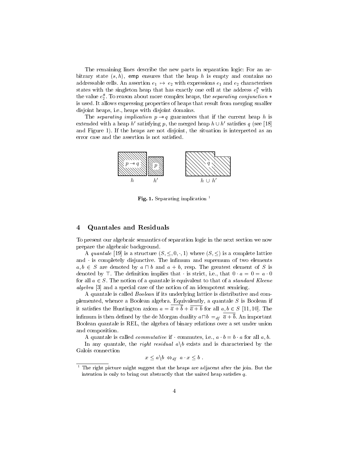The remaining lines describe the new parts in separation logic: For an arbitrary state  $(s, h)$ , emp ensures that the heap h is empty and contains no addressable cells. An assertion  $e_1 \mapsto e_2$  with expressions  $e_1$  and  $e_2$  characterises states with the singleton heap that has exactly one cell at the address  $e_1^s$  with the value  $e_2^s$ . To reason about more complex heaps, the *separating conjunction*  $*$ is used. It allows expressing properties of heaps that result from merging smaller disjoint heaps, i.e., heaps with disjoint domains.

The separating implication  $p \rightarrow q$  guarantees that if the current heap h is extended with a heap h' satisfying p, the merged heap  $h \cup h'$  satisfies q (see [18] and Figure 1). If the heaps are not disjoint, the situation is interpreted as an error case and the assertion is not satised.



Fig. 1. Separating implication  $<sup>1</sup>$ </sup>

#### 4 Quantales and Residuals

To present our algebraic semantics of separation logic in the next section we now prepare the algebraic background.

A quantale [19] is a structure  $(S, \leq, 0, \cdot, 1)$  where  $(S, \leq)$  is a complete lattice and  $\cdot$  is completely disjunctive. The infimum and supremum of two elements  $a, b \in S$  are denoted by  $a \sqcap b$  and  $a + b$ , resp. The greatest element of S is denoted by  $\top$ . The definition implies that is strict, i.e., that  $0 \cdot a = 0 = a \cdot 0$ for all  $a \in S$ . The notion of a quantale is equivalent to that of a *standard Kleene* algebra [3] and a special case of the notion of an idempotent semiring.

A quantale is called Boolean if its underlying lattice is distributive and complemented, whence a Boolean algebra. Equivalently, a quantale  $S$  is Boolean if it satisfies the Huntington axiom  $a = \overline{a} + \overline{b} + \overline{\overline{a} + b}$  for all  $a, b \in S$  [11, 10]. The infimum is then defined by the de Morgan duality  $a \Box b =_{df} \overline{a} + \overline{b}$ . An important Boolean quantale is REL, the algebra of binary relations over a set under union and composition.

A quantale is called *commutative* if commutes, i.e.,  $a \cdot b = b \cdot a$  for all  $a, b$ .

In any quantale, the *right residual*  $a \backslash b$  exists and is characterised by the Galois connection

$$
x \leq a \backslash b \Leftrightarrow_{df} a \cdot x \leq b .
$$

 $1$  The right picture might suggest that the heaps are adjacent after the join. But the intention is only to bring out abstractly that the united heap satisfies  $q$ .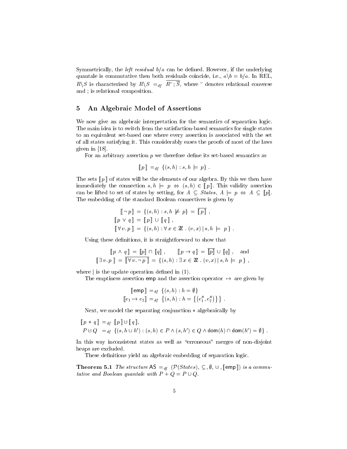Symmetrically, the *left residual*  $b/a$  can be defined. However, if the underlying quantale is commutative then both residuals coincide, i.e.,  $a \backslash b = b/a$ . In REL,  $R\setminus S$  is characterised by  $R\setminus S =_{df} \overline{R^{\circ}$ ;  $\overline{S}$ , where  $\overline{S}$  denotes relational converse and ; is relational composition.

#### 5 An Algebraic Model of Assertions

We now give an algebraic interpretation for the semantics of separation logic. The main idea is to switch from the satisfaction-based semantics for single states to an equivalent set-based one where every assertion is associated with the set of all states satisfying it. This considerably eases the proofs of most of the laws given in [18].

For an arbitrary assertion  $p$  we therefore define its set-based semantics as

$$
[\![p]\!] =_{df} \{(s,h) : s,h \models p\}.
$$

The sets  $[ p ]$  of states will be the elements of our algebra. By this we then have immediately the connection  $s, h \models p \Leftrightarrow (s, h) \in [p]$ . This validity assertion can be lifted to set of states by setting, for  $A \subseteq$  *States,*  $A \models p \Leftrightarrow A \subseteq [p]$ . The embedding of the standard Boolean connectives is given by

$$
\begin{aligned}\n\llbracket \neg p \rrbracket &= \{(s, h) : s, h \not\models p\} = \llbracket p \rrbracket \,, \\
\llbracket p \lor q \rrbracket &= \llbracket p \rrbracket \cup \llbracket q \rrbracket \,, \\
\llbracket \forall v. p \rrbracket &= \{(s, h) : \forall x \in \mathbb{Z} \,. \ (v, x) \, | \, s, h \models p \} \,. \n\end{aligned}
$$

Using these definitions, it is straightforward to show that

$$
\llbracket p \wedge q \rrbracket = \llbracket p \rrbracket \cap \llbracket q \rrbracket, \qquad \llbracket p \rightarrow q \rrbracket = \llbracket p \rrbracket \cup \llbracket q \rrbracket, \text{ and}
$$

$$
\llbracket \exists v. p \rrbracket = \llbracket \forall v. \neg p \rrbracket = \{ (s, h) : \exists x \in \mathbb{Z} \, . \, (v, x) \, | \, s, h \models p \} \, ,
$$

where  $\vert$  is the update operation defined in (1).

The emptiness assertion emp and the assertion operator  $\mapsto$  are given by

$$
\begin{aligned} [\![\,\text{emp}\,]\!] &=_{df} \{ (s,h) : h = \emptyset \} \\ [\![e_1 \mapsto e_2]\!] &=_{df} \{ (s,h) : h = \{ (e_1^s, e_2^s) \} \} \,. \end{aligned}
$$

Next, we model the separating conjunction  $*$  algebraically by

$$
\llbracket p * q \rrbracket =_{df} \llbracket p \rrbracket \cup \llbracket q \rrbracket,
$$
  

$$
P \cup Q =_{df} \{(s, h \cup h') : (s, h) \in P \land (s, h') \in Q \land \text{dom}(h) \cap \text{dom}(h') = \emptyset \}.
$$

In this way inconsistent states as well as "erroneous" merges of non-disjoint heaps are excluded.

These definitions yield an algebraic embedding of separation logic.

**Theorem 5.1** The structure  $AS =_{df} (\mathcal{P}(States), \subseteq, \emptyset, \cup, [\![ \mathsf{emp} ]\!])$  is a commutative and Boolean quantale with  $P + Q = P \cup Q$ .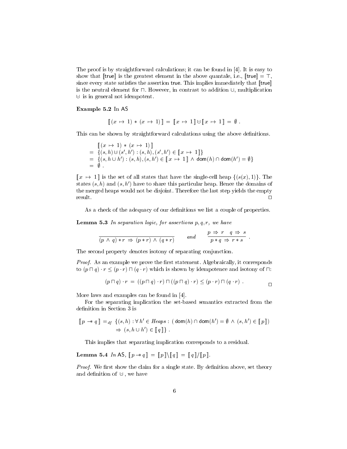The proof is by straightforward calculations; it can be found in [4]. It is easy to show that [true] is the greatest element in the above quantale, i.e.,  $[\text{true}] = \top$ , since every state satisfies the assertion true. This implies immediately that  $[\![true]\!]$ is the neutral element for  $\Box$ . However, in contrast to addition  $\cup$ , multiplication  $\cup$  is in general not idempotent.

#### Example 5.2 In AS

$$
\llbracket (x \mapsto 1) * (x \mapsto 1) \rrbracket = \llbracket x \mapsto 1 \rrbracket \cup \llbracket x \mapsto 1 \rrbracket = \emptyset.
$$

This can be shown by straightforward calculations using the above definitions.

$$
\begin{array}{ll}\n\llbracket (x \mapsto 1) * (x \mapsto 1) \rrbracket \\
= \{(s, h) \cup (s', h') : (s, h), (s', h') \in \llbracket x \mapsto 1 \rrbracket \} \\
= \{(s, h \cup h') : (s, h), (s, h') \in \llbracket x \mapsto 1 \rrbracket \land \mathsf{dom}(h) \cap \mathsf{dom}(h') = \emptyset \} \\
= \emptyset.\n\end{array}
$$

 $[x \mapsto 1]$  is the set of all states that have the single-cell heap  $\{(s(x), 1)\}\)$ . The states  $(s, h)$  and  $(s, h')$  have to share this particular heap. Hence the domains of the merged heaps would not be disjoint. Therefore the last step yields the empty  $r$ esult.  $\Box$ 

As a check of the adequacy of our definitions we list a couple of properties.

**Lemma 5.3** In separation logic, for assertions  $p, q, r$ , we have

$$
\frac{}{(p\,\wedge\,q)\ast r\,\Rightarrow\,(p\ast r)\,\wedge\,(q\ast r)}\qquad \text{ and }\qquad \frac{p\,\Rightarrow\,r\quad q\,\Rightarrow\,s}{p\ast q\,\Rightarrow\,r\ast s}\,\,.
$$

The second property denotes isotony of separating conjunction.

Proof. As an example we prove the first statement. Algebraically, it corresponds to  $(p \sqcap q) \cdot r \leq (p \cdot r) \sqcap (q \cdot r)$  which is shown by idempotence and isotony of  $\sqcap$ :

$$
(p \sqcap q) \cdot r = ((p \sqcap q) \cdot r) \sqcap ((p \sqcap q) \cdot r) \leq (p \cdot r) \sqcap (q \cdot r).
$$

More laws and examples can be found in [4].

For the separating implication the set-based semantics extracted from the definition in Section 3 is

$$
\llbracket p \twoheadrightarrow q \rrbracket =_{df} \{ (s, h) : \forall h' \in \text{Heaps} : (\text{dom}(h) \cap \text{dom}(h') = \emptyset \land (s, h') \in \llbracket p \rrbracket) \}
$$
\n
$$
\Rightarrow (s, h \cup h') \in \llbracket q \rrbracket \} .
$$

This implies that separating implication corresponds to a residual.

Lemma 5.4 In AS,  $[\![ p \rightarrow q ]\!] = [\![ p ]\!] \setminus [\![ q ]\!] =[\![ q ]\!] /[\![ p ]\!]$ .

Proof. We first show the claim for a single state. By definition above, set theory and definition of  $\cup$ , we have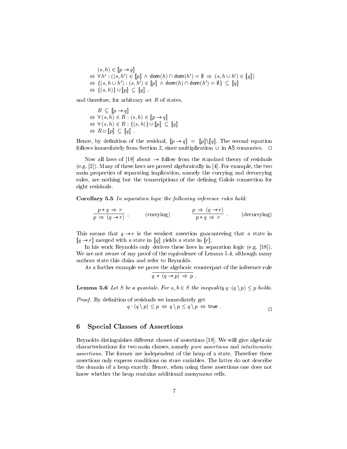$(s, h) \in [p - * q]$  $\Leftrightarrow \forall h' : ((s, h') \in \llbracket p \rrbracket \land \mathsf{dom}(h) \cap \mathsf{dom}(h') = \emptyset \Rightarrow (s, h \cup h') \in \llbracket q \rrbracket)$  $\Leftrightarrow~\{(s,h\mathrel{\dot{\cup}} h'): (s,h^{\prime})\in \llbracket p\rrbracket \;\wedge\; \mathsf{dom}(h)\cap \mathsf{dom}(h')=\emptyset\} \,\subseteq\, \llbracket q\rrbracket$  $\Leftrightarrow \{(s, h)\}\cup [p] \subseteq [q]$ .

and therefore, for arbitrary set  $R$  of states,

$$
R \subseteq [p \rightarrow q]
$$
  
\n
$$
\Leftrightarrow \forall (s, h) \in R : (s, h) \in [p \rightarrow q]
$$
  
\n
$$
\Leftrightarrow \forall (s, h) \in R : \{(s, h)\} \cup [p] \subseteq [q]
$$
  
\n
$$
\Leftrightarrow R \cup [p] \subseteq [q]
$$
.

Hence, by definition of the residual,  $[\![p \rightarrow q]\!] = [\![p]\!] \setminus [\![q]\!]$ . The second equation follows immediately from Section 2, since multiplication  $\cup$  in AS commutes.  $\Box$ 

Now all laws of [18] about  $\rightarrow$  follow from the standard theory of residuals (e.g. [2]). Many of these laws are proved algebraically in [4]. For example, the two main properties of separating implication, namely the currying and decurrying rules, are nothing but the transcriptions of the defining Galois connection for right residuals.

Corollary 5.5 In separation logic the following inference rules hold:

$$
\frac{p * q \Rightarrow r}{p \Rightarrow (q \to r)}, \qquad \text{(currying)} \qquad \frac{p \Rightarrow (q \to r)}{p * q \Rightarrow r} \qquad \text{(decurring)}
$$

This means that  $q \rightarrow r$  is the weakest assertion guaranteeing that a state in  $[q \rightarrow r]$  merged with a state in  $[q]$  yields a state in  $[r]$ .

In his work Reynolds only derives these laws in separation logic (e.g. [18]). We are not aware of any proof of the equivalence of Lemma 5.4, although many authors state this claim and refer to Reynolds.

As a further example we prove the algebraic counterpart of the inference rule

$$
\boxed{q \, * \, (q \to p) \Rightarrow p} \, .
$$

**Lemma 5.6** Let S be a quantale. For  $a, b \in S$  the inequality  $q \cdot (q \setminus p) \leq p$  holds.

Proof. By definition of residuals we immediately get  $q \cdot (q \setminus p) \leq p \Leftrightarrow q \setminus p \leq q \setminus p \Leftrightarrow \text{true}.$ 

#### 6 Special Classes of Assertions

Reynolds distinguishes different classes of assertions [18]. We will give algebraic characterisations for two main classes, namely pure assertions and intuitionistic assertions. The former are independent of the heap of a state. Therefore these assertions only express conditions on store variables. The latter do not describe the domain of a heap exactly. Hence, when using these assertions one does not know whether the heap contains additional anonymous cells.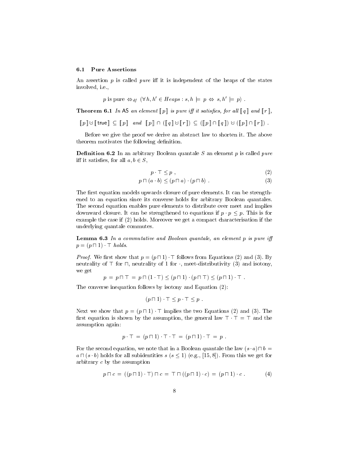#### 6.1 Pure Assertions

An assertion  $p$  is called *pure* iff it is independent of the heaps of the states involved, i.e.,

p is pure 
$$
\Leftrightarrow_{df} (\forall h, h' \in Heaps : s, h \models p \Leftrightarrow s, h' \models p)
$$
.

**Theorem 6.1** In AS an element  $[\![p]\!]$  is pure iff it satisfies, for all  $[\![q]\!]$  and  $[\![r]\!]$ ,

$$
\llbracket p \rrbracket \cup \llbracket \mathsf{true} \rrbracket \subseteq \llbracket p \rrbracket \quad and \quad \llbracket p \rrbracket \cap (\llbracket q \rrbracket \cup \llbracket r \rrbracket) \subseteq (\llbracket p \rrbracket \cap \llbracket q \rrbracket) \cup (\llbracket p \rrbracket \cap \llbracket r \rrbracket) \ .
$$

Before we give the proof we derive an abstract law to shorten it. The above theorem motivates the following definition.

**Definition 6.2** In an arbitrary Boolean quantale S an element p is called pure iff it satisfies, for all  $a, b \in S$ ,

$$
p \cdot \top \leq p \tag{2}
$$

$$
p \sqcap (a \cdot b) \le (p \sqcap a) \cdot (p \sqcap b) \tag{3}
$$

The first equation models upwards closure of pure elements. It can be strengthened to an equation since its converse holds for arbitrary Boolean quantales. The second equation enables pure elements to distribute over meet and implies downward closure. It can be strengthened to equations if  $p \cdot p \leq p$ . This is for example the case if (2) holds. Moreover we get a compact characterisation if the underlying quantale commutes.

**Lemma 6.3** In a commutative and Boolean quantale, an element  $p$  is pure iff  $p = (p \sqcap 1) \top holds.$ 

*Proof.* We first show that  $p = (p \sqcap 1)$ . T follows from Equations (2) and (3). By neutrality of  $\top$  for  $\sqcap$ , neutrality of 1 for , meet-distributivity (3) and isotony, we get

$$
p = p \sqcap \top = p \sqcap (1 \cdot \top) \le (p \sqcap 1) \cdot (p \sqcap \top) \le (p \sqcap 1) \cdot \top.
$$

The converse inequation follows by isotony and Equation (2):

$$
(p \sqcap 1) \cdot \top \leq p \cdot \top \leq p .
$$

Next we show that  $p = (p \sqcap 1) \cdot \top$  implies the two Equations (2) and (3). The first equation is shown by the assumption, the general law  $\top \cdot \top = \top$  and the assumption again:

$$
p \cdot \top = (p \sqcap 1) \cdot \top \cdot \top = (p \sqcap 1) \cdot \top = p .
$$

For the second equation, we note that in a Boolean quantale the law  $(s \cdot a) \sqcap b =$  $a \sqcap (s \cdot b)$  holds for all subidentities  $s$   $(s \leq 1)$  (e.g., [15,8]). From this we get for arbitrary c by the assumption

$$
p \sqcap c = ((p \sqcap 1) \cdot \top) \sqcap c = \top \sqcap ((p \sqcap 1) \cdot c) = (p \sqcap 1) \cdot c.
$$
 (4)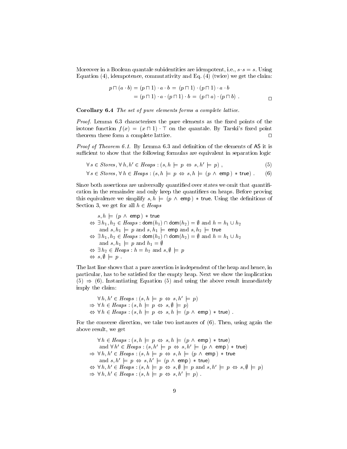Moreover in a Boolean quantale subidentities are idempotent, i.e.,  $s \cdot s = s$ . Using Equation (4), idempotence, commutativity and Eq. (4) (twice) we get the claim:

$$
p \sqcap (a \cdot b) = (p \sqcap 1) \cdot a \cdot b = (p \sqcap 1) \cdot (p \sqcap 1) \cdot a \cdot b
$$
  
= 
$$
(p \sqcap 1) \cdot a \cdot (p \sqcap 1) \cdot b = (p \sqcap a) \cdot (p \sqcap b).
$$

Corollary 6.4 The set of pure elements forms a complete lattice.

*Proof.* Lemma  $6.3$  characterises the pure elements as the fixed points of the isotone function  $f(x) = (x \sqcap 1) \sqcap \sqcap$  on the quantale. By Tarski's fixed point theorem these form a complete lattice.  $\Box$ 

*Proof of Theorem 6.1.* By Lemma  $6.3$  and definition of the elements of AS it is sufficient to show that the following formulas are equivalent in separation logic

$$
\forall s \in \text{Stores}, \forall h, h' \in \text{Heaps} : (s, h \models p \Leftrightarrow s, h' \models p) , \tag{5}
$$

$$
\forall s \in \text{Stores}, \forall h \in \text{Heaps} : (s, h \models p \Leftrightarrow s, h \models (p \land \text{ emp}) * \text{true}) .
$$
 (6)

Since both assertions are universally quantified over states we omit that quantification in the remainder and only keep the quantiers on heaps. Before proving this equivalence we simplify  $s, h \models (p \land \text{emp}) * \text{true}$ . Using the definitions of Section 3, we get for all  $h \in \text{Heaps}$ 

$$
s, h \models (p \land \text{ emp}) * true
$$
  
\n
$$
\Leftrightarrow \exists h_1, h_2 \in Heaps : \text{dom}(h_1) \cap \text{dom}(h_2) = \emptyset \text{ and } h = h_1 \cup h_2
$$
  
\nand  $s, h_1 \models p$  and  $s, h_1 \models \text{emp and } s, h_2 \models \text{true}$   
\n
$$
\Leftrightarrow \exists h_1, h_2 \in Heaps : \text{dom}(h_1) \cap \text{dom}(h_2) = \emptyset \text{ and } h = h_1 \cup h_2
$$
  
\nand  $s, h_1 \models p$  and  $h_1 = \emptyset$   
\n
$$
\Leftrightarrow \exists h_2 \in Heaps : h = h_2 \text{ and } s, \emptyset \models p
$$
  
\n
$$
\Leftrightarrow s, \emptyset \models p.
$$

The last line shows that a pure assertion is independent of the heap and hence, in particular, has to be satisfied for the empty heap. Next we show the implication  $(5) \Rightarrow (6)$ . Instantiating Equation (5) and using the above result immediately imply the claim:

$$
\forall h, h' \in Heaps : (s, h \models p \Leftrightarrow s, h' \models p)
$$
  
\n
$$
\Rightarrow \forall h \in Heaps : (s, h \models p \Leftrightarrow s, \emptyset \models p)
$$
  
\n
$$
\Leftrightarrow \forall h \in Heaps : (s, h \models p \Leftrightarrow s, h \models (p \land emp) * true).
$$

For the converse direction, we take two instances of (6). Then, using again the above result, we get

$$
\forall h \in Heaps : (s, h \models p \Leftrightarrow s, h \models (p \land emp) * true)
$$
  
\nand 
$$
\forall h' \in Heaps : (s, h' \models p \Leftrightarrow s, h' \models (p \land emp) * true)
$$
  
\n
$$
\Rightarrow \forall h, h' \in Heaps : (s, h \models p \Leftrightarrow s, h \models (p \land emp) * true
$$
  
\nand 
$$
s, h' \models p \Leftrightarrow s, h' \models (p \land emp) * true)
$$
  
\n
$$
\Leftrightarrow \forall h, h' \in Heaps : (s, h \models p \Leftrightarrow s, \emptyset \models p \text{ and } s, h' \models p \Leftrightarrow s, \emptyset \models p)
$$
  
\n
$$
\Rightarrow \forall h, h' \in Heaps : (s, h \models p \Leftrightarrow s, h' \models p).
$$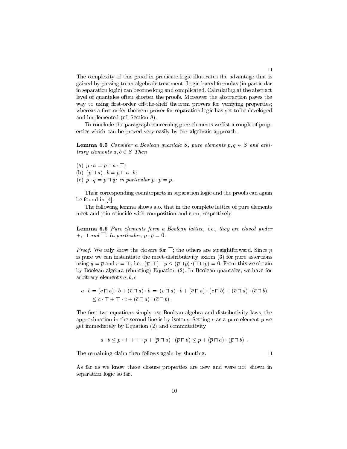The complexity of this proof in predicate-logic illustrates the advantage that is gained by passing to an algebraic treatment. Logic-based formulas (in particular in separation logic) can become long and complicated. Calculating at the abstract level of quantales often shorten the proofs. Moreover the abstraction paves the way to using first-order off-the-shelf theorem provers for verifying properties; whereas a first-order theorem prover for separation logic has yet to be developed and implemented (cf. Section 8).

To conclude the paragraph concerning pure elements we list a couple of properties which can be proved very easily by our algebraic approach.

**Lemma 6.5** Consider a Boolean quantale S, pure elements  $p, q \in S$  and arbitrary elements  $a, b \in S$  Then

(a)  $p \cdot a = p \sqcap a \cdot \top;$ 

(b) 
$$
(p \sqcap a) \cdot b = p \sqcap a \cdot b;
$$

(c)  $p \cdot q = p \cap q$ ; in particular  $p \cdot p = p$ .

Their corresponding counterparts in separation logic and the proofs can again be found in [4].

The following lemma shows a.o. that in the complete lattice of pure elements meet and join coincide with composition and sum, respectively.

Lemma 6.6 Pure elements form a Boolean lattice, i.e., they are closed under  $+$ ,  $\Box$  and  $\Box$ . In particular,  $p \bar{p} = 0$ .

*Proof.* We only show the closure for  $\overline{\phantom{a}}$ ; the others are straightforward. Since p is pure we can instantiate the meet-distributivity axiom (3) for pure assertions using  $q = \overline{p}$  and  $r = \top$ , i.e.,  $(\overline{p} \top) \sqcap p \leq (\overline{p} \sqcap p) \cdot (\top \sqcap p) = 0$ . From this we obtain by Boolean algebra (shunting) Equation (2). In Boolean quantales, we have for arbitrary elements  $a, b, c$ 

$$
a \cdot b = (c \sqcap a) \cdot b + (\overline{c} \sqcap a) \cdot b = (c \sqcap a) \cdot b + (\overline{c} \sqcap a) \cdot (c \sqcap b) + (\overline{c} \sqcap a) \cdot (\overline{c} \sqcap b)
$$
  
\$\leq c \cdot T + T \cdot c + (\overline{c} \sqcap a) \cdot (\overline{c} \sqcap b)\$.

The first two equations simply use Boolean algebra and distributivity laws, the approximation in the second line is by isotony. Setting  $c$  as a pure element  $p$  we get immediately by Equation (2) and commutativity

$$
a \cdot b \leq p \cdot \top + \top \cdot p + (\overline{p} \cap a) \cdot (\overline{p} \cap b) \leq p + (\overline{p} \cap a) \cdot (\overline{p} \cap b).
$$

The remaining claim then follows again by shunting.  $\Box$ 

As far as we know these closure properties are new and were not shown in separation logic so far.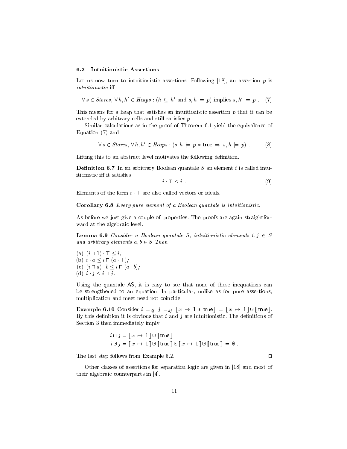#### 6.2 Intuitionistic Assertions

Let us now turn to intuitionistic assertions. Following  $[18]$ , an assertion p is intuitionistic iff

$$
\forall s \in \text{Stores}, \forall h, h' \in \text{Heaps} : (h \subseteq h' \text{ and } s, h \models p) \text{ implies } s, h' \models p. \tag{7}
$$

This means for a heap that satisfies an intuitionistic assertion  $p$  that it can be extended by arbitrary cells and still satisfies  $p$ .

Similar calculations as in the proof of Theorem 6.1 yield the equivalence of Equation (7) and

$$
\forall s \in \text{Stores}, \forall h, h' \in \text{Heaps} : (s, h \models p * \text{true} \Rightarrow s, h \models p) .
$$
 (8)

Lifting this to an abstract level motivates the following definition.

**Definition 6.7** In an arbitrary Boolean quantale S an element i is called intuitionistic iff it satisfies

$$
i \quad \top \leq i \tag{9}
$$

Elements of the form  $i \cdot \top$  are also called vectors or ideals.

Corollary 6.8 Every pure element of a Boolean quantale is intuitionistic.

As before we just give a couple of properties. The proofs are again straightforward at the algebraic level.

**Lemma 6.9** Consider a Boolean quantale S, intuitionistic elements  $i, j \in S$ and arbitrary elements  $a, b \in S$  Then

(a)  $(i \sqcap 1) \top \leq i$ ; (b)  $i \cdot a \leq i \sqcap (a \cdot \top);$ (c)  $(i \sqcap a) \cdot b \leq i \sqcap (a \cdot b);$ (d)  $i \cdot j \leq i \sqcap j$ .

Using the quantale AS, it is easy to see that none of these inequations can be strengthened to an equation. In particular, unlike as for pure assertions, multiplication and meet need not coincide.

**Example 6.10** Consider  $i =_{df} j =_{df} [x \mapsto 1 \ast \text{true}] = [x \mapsto 1] \cup [\text{true}].$ By this definition it is obvious that  $i$  and  $j$  are intuitionistic. The definitions of Section 3 then immediately imply

$$
i \cap j = \llbracket x \mapsto 1 \rrbracket \cup \llbracket \mathsf{true} \rrbracket
$$
  

$$
i \cup j = \llbracket x \mapsto 1 \rrbracket \cup \llbracket \mathsf{true} \rrbracket \cup \llbracket x \mapsto 1 \rrbracket \cup \llbracket \mathsf{true} \rrbracket = \emptyset.
$$

The last step follows from Example 5.2.  $\Box$ 

Other classes of assertions for separation logic are given in [18] and most of their algebraic counterparts in [4].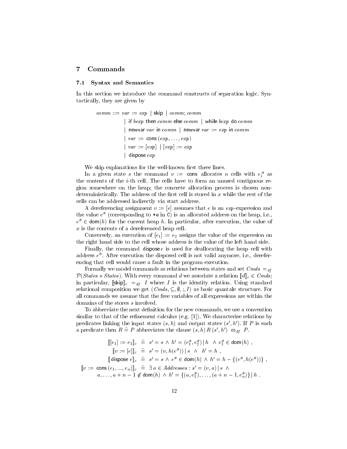### 7 Commands

#### 7.1 Syntax and Semantics

In this section we introduce the command constructs of separation logic. Syntactically, they are given by

> $comm ::= var := exp | \textsf{skip} | comm; comm$ if  $bexp$  then  $comm$  else  $comm$   $\mid$  while  $bexp$  do  $comm$ | newvar var in  $comm$  | newvar  $var := exp$  in  $comm$  $\vert \textit{var} := \text{cons}(\textit{exp}, \ldots, \textit{exp})$  $| var := [exp] | [exp] := exp$  $\vert$  dispose  $exp$

We skip explanations for the well-known first three lines.

In a given state s the command  $v := \text{cons}$  allocates n cells with  $e_i^s$  as the contents of the i-th cell. The cells have to form an unused contiguous region somewhere on the heap; the concrete allocation process is chosen nondeterministically. The address of the first cell is stored in  $x$  while the rest of the cells can be addressed indirectly via start address.

A dereferencing assignment  $v := [e]$  assumes that e is an exp-expression and the value  $e^{s}$  (corresponding to  $\ast e$  in C) is an allocated address on the heap, i.e.,  $e^{s} \in \text{dom}(h)$  for the current heap h. In particular, after execution, the value of  $x$  is the contents of a dereferenced heap cell.

Conversely, an execution of  $[e_1] := e_2$  assigns the value of the expression on the right hand side to the cell whose address is the value of the left hand side.

Finally, the command dispose  $e$  is used for deallocating the heap cell with address  $e^{s}$ . After execution the disposed cell is not valid anymore, i.e., dereferencing that cell would cause a fault in the program execution.

Formally we model commands as relations between states and set  $Cmds =_{df}$  $\mathcal{P}(States \times States)$ . With every command d we associate a relation  $[\![d]\!]_c \in Cmds;$ in particular,  $\llbracket \sin \theta \rrbracket_c =_{df} I$  where I is the identity relation. Using standard relational composition we get  $(Cmds, \subseteq, \emptyset, \dots, I)$  as basic quantale structure. For all commands we assume that the free variables of all expressions are within the domains of the stores s involved.

To abbreviate the next definition for the new commands, we use a convention similar to that of the refinement calculus (e.g.  $[1]$ ). We characterise relations by predicates linking the input states  $(s, h)$  and output states  $(s', h')$ . If P is such a predicate then  $R \triangleq P$  abbreviates the clause  $(s, h) R (s', h') \Leftrightarrow_{df} P$ .

$$
\llbracket [e_1] := e_2 \rrbracket_c \cong s' = s \land h' = (e_1^s, e_2^s) \mid h \land e_1^s \in \text{dom}(h) ,
$$
  
\n
$$
\llbracket v := [e] \rrbracket_c \cong s' = (v, h(e^s)) \mid s \land h' = h ,
$$
  
\n
$$
\llbracket \text{dispose } e \rrbracket_c \cong s' = s \land e^s \in \text{dom}(h) \land h' = h - \{(e^s, h(e^s))\} ,
$$
  
\n
$$
\llbracket v := \text{cons}(e_1, ..., e_n) \rrbracket_c \cong \exists a \in Addresses : s' = (v, a) \mid s \land
$$
  
\n
$$
a, ..., a + n - 1 \notin \text{dom}(h) \land h' = \{(a, e_1^s), ..., (a + n - 1, e_n^s)\} \mid h .
$$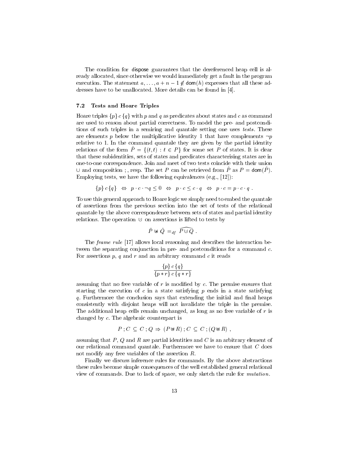The condition for dispose guarantees that the dereferenced heap cell is already allocated, since otherwise we would immediately get a fault in the program execution. The statement  $a, \ldots, a+n-1 \notin \text{dom}(h)$  expresses that all these addresses have to be unallocated. More details can be found in [4].

#### 7.2 Tests and Hoare Triples

Hoare triples  $\{p\} c \{q\}$  with p and q as predicates about states and c as command are used to reason about partial correctness. To model the pre- and postconditions of such triples in a semiring and quantale setting one uses tests. These are elements p below the multiplicative identity 1 that have complements  $\neg p$ relative to 1. In the command quantale they are given by the partial identity relations of the form  $\hat{P} = \{(t, t): t \in P\}$  for some set P of states. It is clear that these subidentities, sets of states and predicates characterising states are in one-to-one correspondence. Join and meet of two tests coincide with their union  $\cup$  and composition ; , resp. The set P can be retrieved from  $\hat{P}$  as  $P = \text{dom}(\hat{P})$ . Employing tests, we have the following equivalences (e.g., [12]):

$$
\{p\} c \{q\} \Leftrightarrow p \ c \neg q \leq 0 \Leftrightarrow p \ c \leq c \ q \Leftrightarrow p \ c = p \ c \ q
$$

To use this general approach to Hoare logic we simply need to embed the quantale of assertions from the previous section into the set of tests of the relational quantale by the above correspondence between sets of states and partial identity relations. The operation  $\cup$  on assertions is lifted to tests by<br>relations. The operation  $\cup$  on assertions is lifted to tests by<br> $\hat{P} \boxtimes \hat{Q} =_{df} \widehat{P \cup Q}$ .

$$
\hat{P} \,\uplus\, \hat{Q} \, =_{df} \, \widehat{P \cup Q} \,\, .
$$

The *frame rule* [17] allows local reasoning and describes the interaction between the separating conjunction in pre- and postconditions for a command  $c$ . For assertions  $p$ ,  $q$  and  $r$  and an arbitrary command  $c$  it reads

$$
\frac{\{p\}c\{q\}}{\{p*r\}c\{q*r\}}
$$

assuming that no free variable of  $r$  is modified by  $c$ . The premise ensures that starting the execution of  $c$  in a state satisfying  $p$  ends in a state satisfying q. Furthermore the conclusion says that extending the initial and final heaps consistently with disjoint heaps will not invalidate the triple in the premise. The additional heap cells remain unchanged, as long as no free variable of  $r$  is changed by c. The algebraic counterpart is

$$
P: C \subseteq C: Q \Rightarrow (P \uplus R): C \subseteq C: (Q \uplus R),
$$

assuming that  $P$ ,  $Q$  and  $R$  are partial identities and  $C$  is an arbitrary element of our relational command quantale. Furthermore we have to ensure that  $C$  does not modify any free variables of the assertion R.

Finally we discuss inference rules for commands. By the above abstractions these rules become simple consequences of the well established general relational view of commands. Due to lack of space, we only sketch the rule for mutation.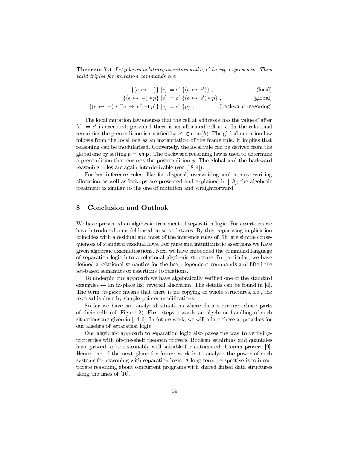**Theorem 7.1** Let p be an arbitrary assertion and  $e, e'$  be exp-expressions. Then valid triples for mutation commands are

$$
\{(e \mapsto -)\} [e] := e' \{(e \mapsto e')\},\qquad (local)
$$

$$
\{(e \mapsto -) * p\} [e] := e' \{(e \mapsto e') * p\}, \qquad (global)
$$

$$
\{(e \mapsto -) * ((e \mapsto e') - *p)\} [e] := e' \{p\}.
$$
 (backward reasoning)

The local mutation law ensures that the cell at address  $e$  has the value  $e^\prime$  after  $[e] := e'$  is executed; provided there is an allocated cell at e. In the relational semantics the precondition is satisfied by  $e^{s} \in \text{dom}(h)$ . The global mutation law follows from the local one as an instantiation of the frame rule. It implies that reasoning can be modularised. Conversely, the local rule can be derived from the global one by setting  $p = \text{emp}$ . The backward reasoning law is used to determine a precondition that ensures the postcondition  $p$ . The global and the backward reasoning rules are again interderivable (see [18, 4]).

Further inference rules, like for disposal, overwriting and non-overwriting allocation as well as lookups are presented and explained in [18]; the algebraic treatment is similar to the one of mutation and straightforward.

#### 8 Conclusion and Outlook

We have presented an algebraic treatment of separation logic. For assertions we have introduced a model based on sets of states. By this, separating implication coincides with a residual and most of the inference rules of [18] are simple consequences of standard residual laws. For pure and intuitionistic assertions we have given algebraic axiomatisations. Next we have embedded the command language of separation logic into a relational algebraic structure. In particular, we have defined a relational semantics for the heap-dependent commands and lifted the set-based semantics of assertions to relations.

To underpin our approach we have algebraically veried one of the standard examples — an in-place list reversal algorithm. The details can be found in [4]. The term *in-place* means that there is no copying of whole structures, i.e., the reversal is done by simple pointer modifications.

So far we have not analysed situations where data structures share parts of their cells (cf. Figure 2). First steps towards an algebraic handling of such situations are given in [14, 6]. In future work, we will adapt these approaches for our algebra of separation logic.

Our algebraic approach to separation logic also paves the way to verifyingproperties with off-the-shelf theorem provers. Boolean semirings and quantales have proved to be reasonably well suitable for automated theorem provers [9]. Hence one of the next plans for future work is to analyse the power of such systems for reasoning with separation logic. A long-term perspective is to incorporate reasoning about concurrent programs with shared linked data structures along the lines of [16].